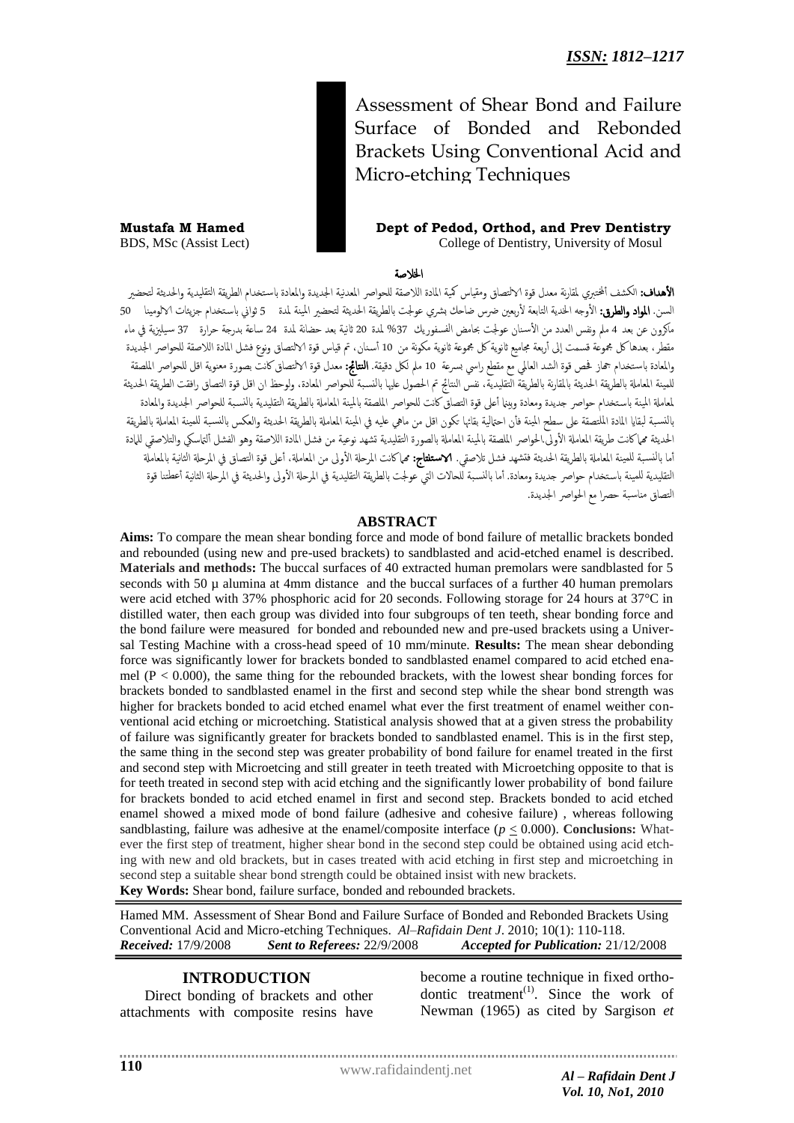Assessment of Shear Bond and Failure Surface of Bonded and Rebonded Brackets Using Conventional Acid and Micro-etching Techniques

**Mustafa M Hamed Dept of Pedod, Orthod, and Prev Dentistry** BDS, MSc (Assist Lect) College of Dentistry, University of Mosul

اخلالضة

**الأهداف:** الكشف ألختبري لمقارنة معدل قوة الالتصاق ومقياس كمية المادة اللاصقة للحواصر المعدنية الجديدة واستخدام الطريقة التقليدية والحديثة لتحضبر السن. **المواد والطرق:** الأوجه الخدية التابعة لأربعين ضرس ضاحك بشري عولجت بالطريقة الحديثة لتحضير المينة لمدة 5 ثواني باستخدام جزيئات الالومينا 50 ماكرون عن بعد 4 ملم ونفس العدد من الأسنان عولجت بحامض الفسفوريك 37% لمدة 20 ثانية بعد حضانة لمدة 24 ساعة بدرجة حرارة 37 سيليزية في ماء مقطر، بعدها كل مجموعة قسمت إلى أربعة مجاميع ثانوية كل مجموعة ثانوية مكونة من 10 أسنان، تم قياس قوة الالتصاق ونوع فشل المادة اللاصقة للحواصر الجديدة والمعادة باستخدام جماز فحص قوة الشد العالمي مع مقطع راسي بسرعة 10 ملم لكل دقيقة. **النتائج:** معدل قوة الالتصاق كانت بصورة معنوية اقل للحواصر الملصقة للمينة المعاملة بالطريقة بالمقارنة بالطريقة التقليدية، نفس النتائج تم الحصول عليها بالنسبة للحواصر المعادة، ولوحظ ان اقل قوة التصاق رافقت الطريقة الحديثة لمعاملة المينة باستخدام حواصر جديدة ومعادة وبننا أعلى قوة التصاق كانت للحواصر الملصقة بالمينة الطلوليقة التقليدية بالنسبة للحواصر الجديدة والمعادة بالنسبة لبقايا المادة الملتصقة على سطح المينة فأن احتالية بقائها تكون اقل من ماهي عليه في الميعا بالغريقة الحديثة والعكس بالنسبة للمينة المعاملة بالطريقة الحديثة مماكانت طريقة المعاملة الأولى الحواصر الملصقة بالمينة المطورا والتقليدية تشهد نوعية من فشل المادة اللاصقة وهو الفشل ألتاسكي والتلاصقي للمادة أما بالنسبة للمينة المعاملة بالطريقة الحديثة فتشهد فشل تلاصقي. **الاستنتاج: م**ماكانت المرحلة الأولى من المعاملة، أعلى قوة التصاق في المرحلة الثانية بالمعاملة التقليدية للمينة باستخدام حواصر جديدة ومعادة. أما بالنسبة للحالات التي عولجت بالطريقة التقليدية في المرلى المرحلة الثانية أعطتنا قوة التصاق مناسبة حصرا مع الحواصر الجديدة.

#### **ABSTRACT**

**Aims:** To compare the mean shear bonding force and mode of bond failure of metallic brackets bonded and rebounded (using new and pre-used brackets) to sandblasted and acid-etched enamel is described. **Materials and methods:** The buccal surfaces of 40 extracted human premolars were sandblasted for 5 seconds with 50 µ alumina at 4mm distance and the buccal surfaces of a further 40 human premolars were acid etched with 37% phosphoric acid for 20 seconds. Following storage for 24 hours at 37°C in distilled water, then each group was divided into four subgroups of ten teeth, shear bonding force and the bond failure were measured for bonded and rebounded new and pre-used brackets using a Universal Testing Machine with a cross-head speed of 10 mm/minute. **Results:** The mean shear debonding force was significantly lower for brackets bonded to sandblasted enamel compared to acid etched enamel ( $P < 0.000$ ), the same thing for the rebounded brackets, with the lowest shear bonding forces for brackets bonded to sandblasted enamel in the first and second step while the shear bond strength was higher for brackets bonded to acid etched enamel what ever the first treatment of enamel weither conventional acid etching or microetching. Statistical analysis showed that at a given stress the probability of failure was significantly greater for brackets bonded to sandblasted enamel. This is in the first step, the same thing in the second step was greater probability of bond failure for enamel treated in the first and second step with Microetcing and still greater in teeth treated with Microetching opposite to that is for teeth treated in second step with acid etching and the significantly lower probability of bond failure for brackets bonded to acid etched enamel in first and second step. Brackets bonded to acid etched enamel showed a mixed mode of bond failure (adhesive and cohesive failure) , whereas following sandblasting, failure was adhesive at the enamel/composite interface ( $p \leq 0.000$ ). **Conclusions:** Whatever the first step of treatment, higher shear bond in the second step could be obtained using acid etching with new and old brackets, but in cases treated with acid etching in first step and microetching in second step a suitable shear bond strength could be obtained insist with new brackets.

**Key Words:** Shear bond, failure surface, bonded and rebounded brackets.

Hamed MM. Assessment of Shear Bond and Failure Surface of Bonded and Rebonded Brackets Using Conventional Acid and Micro-etching Techniques. *Al–Rafidain Dent J*. 2010; 10(1): 110-118. *Received:* 17/9/2008 *Sent to Referees:* 22/9/2008 *Accepted for Publication:* 21/12/2008

## **INTRODUCTION**

Direct bonding of brackets and other attachments with composite resins have

become a routine technique in fixed orthodontic treatment<sup> $(1)$ </sup>. Since the work of Newman (1965) as cited by Sargison *et* 

www.rafidaindentj.net *Al – Rafidain Dent J Vol. 10, No1, 2010*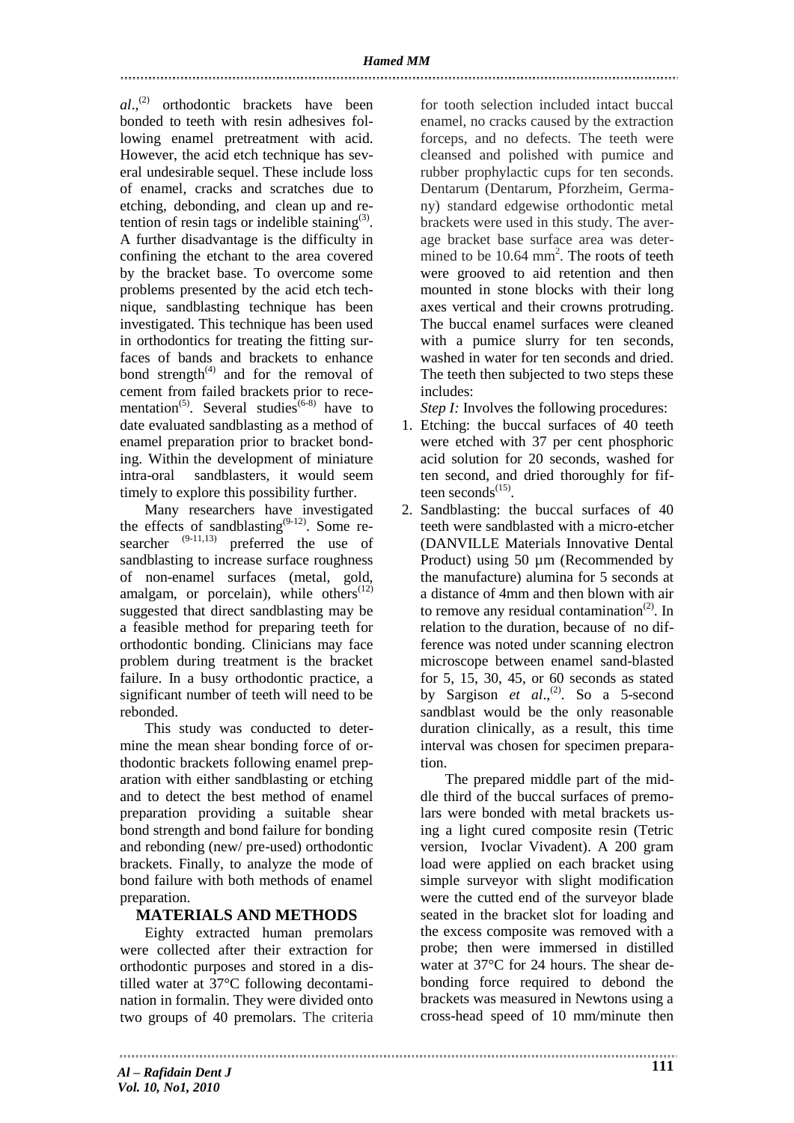*al*., (2) orthodontic brackets have been bonded to teeth with resin adhesives following enamel pretreatment with acid. However, the acid etch technique has several undesirable sequel. These include loss of enamel, cracks and scratches due to etching, debonding, and clean up and retention of resin tags or indelible staining $^{(3)}$ . A further disadvantage is the difficulty in confining the etchant to the area covered by the bracket base. To overcome some problems presented by the acid etch technique, sandblasting technique has been investigated. This technique has been used in orthodontics for treating the fitting surfaces of bands and brackets to enhance bond strength $^{(4)}$  and for the removal of cement from failed brackets prior to recementation<sup>(5)</sup>. Several studies<sup>(6-8)</sup> have to date evaluated sandblasting as a method of enamel preparation prior to bracket bonding. Within the development of miniature intra-oral sandblasters, it would seem timely to explore this possibility further.

Many researchers have investigated the effects of sandblasting<sup>(9-12)</sup>. Some researcher  $(9-11,13)$  preferred the use of sandblasting to increase surface roughness of non-enamel surfaces (metal, gold, amalgam, or porcelain), while others $(12)$ suggested that direct sandblasting may be a feasible method for preparing teeth for orthodontic bonding. Clinicians may face problem during treatment is the bracket failure. In a busy orthodontic practice, a significant number of teeth will need to be rebonded.

This study was conducted to determine the mean shear bonding force of orthodontic brackets following enamel preparation with either sandblasting or etching and to detect the best method of enamel preparation providing a suitable shear bond strength and bond failure for bonding and rebonding (new/ pre-used) orthodontic brackets. Finally, to analyze the mode of bond failure with both methods of enamel preparation.

## **MATERIALS AND METHODS**

Eighty extracted human premolars were collected after their extraction for orthodontic purposes and stored in a distilled water at 37°C following decontamination in formalin. They were divided onto two groups of 40 premolars. The criteria

for tooth selection included intact buccal enamel, no cracks caused by the extraction forceps, and no defects. The teeth were cleansed and polished with pumice and rubber prophylactic cups for ten seconds. Dentarum (Dentarum, Pforzheim, Germany) standard edgewise orthodontic metal brackets were used in this study. The average bracket base surface area was determined to be 10.64 mm<sup>2</sup>. The roots of teeth were grooved to aid retention and then mounted in stone blocks with their long axes vertical and their crowns protruding. The buccal enamel surfaces were cleaned with a pumice slurry for ten seconds, washed in water for ten seconds and dried. The teeth then subjected to two steps these includes:

*Step I:* Involves the following procedures:

- 1. Etching: the buccal surfaces of 40 teeth were etched with 37 per cent phosphoric acid solution for 20 seconds, washed for ten second, and dried thoroughly for fifteen seconds $^{(15)}$ .
- 2. Sandblasting: the buccal surfaces of 40 teeth were sandblasted with a micro-etcher (DANVILLE Materials Innovative Dental Product) using 50  $\mu$ m (Recommended by the manufacture) alumina for 5 seconds at a distance of 4mm and then blown with air to remove any residual contamination<sup> $(2)$ </sup>. In relation to the duration, because of no difference was noted under scanning electron microscope between enamel sand-blasted for 5, 15, 30, 45, or 60 seconds as stated by Sargison *et al.*,<sup>(2)</sup>. So a 5-second sandblast would be the only reasonable duration clinically, as a result, this time interval was chosen for specimen preparation.

The prepared middle part of the middle third of the buccal surfaces of premolars were bonded with metal brackets using a light cured composite resin (Tetric version, Ivoclar Vivadent). A 200 gram load were applied on each bracket using simple surveyor with slight modification were the cutted end of the surveyor blade seated in the bracket slot for loading and the excess composite was removed with a probe; then were immersed in distilled water at 37°C for 24 hours. The shear debonding force required to debond the brackets was measured in Newtons using a cross-head speed of 10 mm/minute then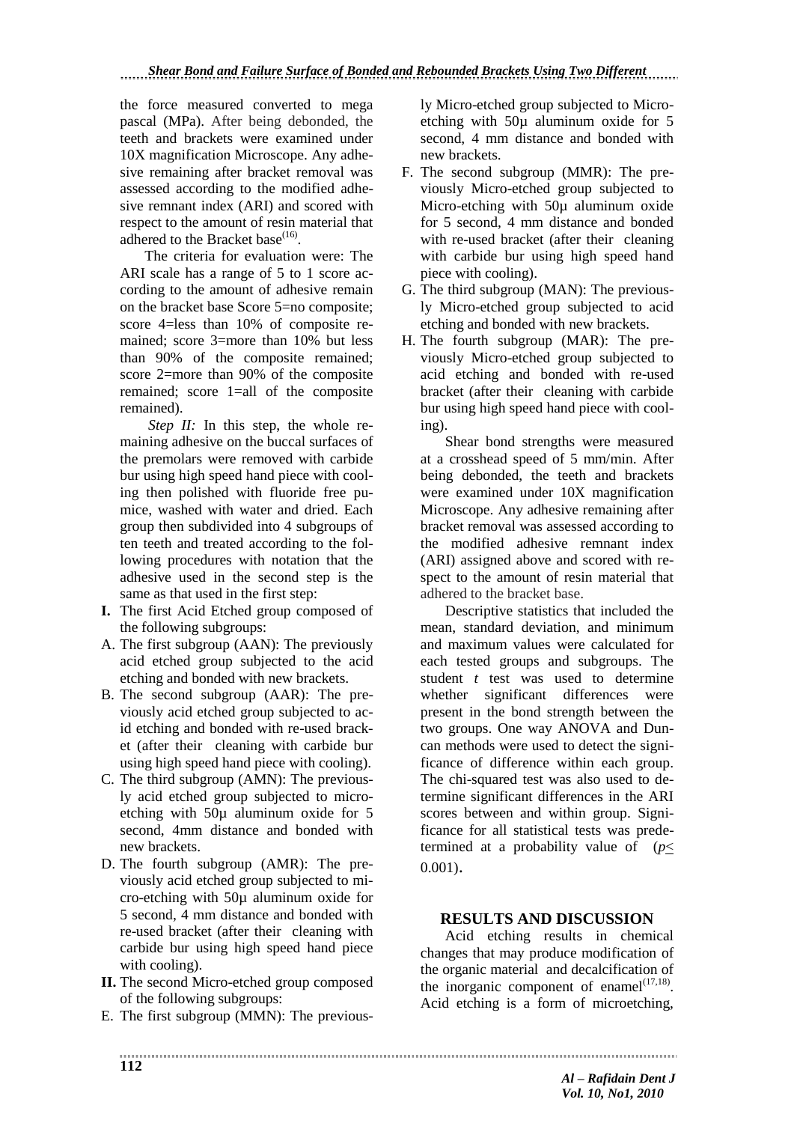the force measured converted to mega pascal (MPa). After being debonded, the teeth and brackets were examined under 10X magnification Microscope. Any adhesive remaining after bracket removal was assessed according to the modified adhesive remnant index (ARI) and scored with respect to the amount of resin material that adhered to the Bracket base<sup>(16)</sup>.

The criteria for evaluation were: The ARI scale has a range of 5 to 1 score according to the amount of adhesive remain on the bracket base Score 5=no composite; score 4=less than 10% of composite remained; score 3=more than 10% but less than 90% of the composite remained; score 2=more than 90% of the composite remained; score 1=all of the composite remained).

*Step II:* In this step, the whole remaining adhesive on the buccal surfaces of the premolars were removed with carbide bur using high speed hand piece with cooling then polished with fluoride free pumice, washed with water and dried. Each group then subdivided into 4 subgroups of ten teeth and treated according to the following procedures with notation that the adhesive used in the second step is the same as that used in the first step:

- **I.** The first Acid Etched group composed of the following subgroups:
- A. The first subgroup (AAN): The previously acid etched group subjected to the acid etching and bonded with new brackets.
- B. The second subgroup (AAR): The previously acid etched group subjected to acid etching and bonded with re-used bracket (after their cleaning with carbide bur using high speed hand piece with cooling).
- C. The third subgroup (AMN): The previously acid etched group subjected to microetching with 50µ aluminum oxide for 5 second, 4mm distance and bonded with new brackets.
- D. The fourth subgroup (AMR): The previously acid etched group subjected to micro-etching with 50µ aluminum oxide for 5 second, 4 mm distance and bonded with re-used bracket (after their cleaning with carbide bur using high speed hand piece with cooling).
- **II.** The second Micro-etched group composed of the following subgroups:
- E. The first subgroup (MMN): The previous-

ly Micro-etched group subjected to Microetching with 50µ aluminum oxide for 5 second, 4 mm distance and bonded with new brackets.

- F. The second subgroup (MMR): The previously Micro-etched group subjected to Micro-etching with 50µ aluminum oxide for 5 second, 4 mm distance and bonded with re-used bracket (after their cleaning with carbide bur using high speed hand piece with cooling).
- G. The third subgroup (MAN): The previously Micro-etched group subjected to acid etching and bonded with new brackets.
- H. The fourth subgroup (MAR): The previously Micro-etched group subjected to acid etching and bonded with re-used bracket (after their cleaning with carbide bur using high speed hand piece with cooling).

Shear bond strengths were measured at a crosshead speed of 5 mm/min. After being debonded, the teeth and brackets were examined under 10X magnification Microscope. Any adhesive remaining after bracket removal was assessed according to the modified adhesive remnant index (ARI) assigned above and scored with respect to the amount of resin material that adhered to the bracket base.

Descriptive statistics that included the mean, standard deviation, and minimum and maximum values were calculated for each tested groups and subgroups. The student *t* test was used to determine whether significant differences were present in the bond strength between the two groups. One way ANOVA and Duncan methods were used to detect the significance of difference within each group. The chi-squared test was also used to determine significant differences in the ARI scores between and within group. Significance for all statistical tests was predetermined at a probability value of  $(p<$ 0.001).

## **RESULTS AND DISCUSSION**

Acid etching results in chemical changes that may produce modification of the organic material and decalcification of the inorganic component of enamel $1^{(17,18)}$ . Acid etching is a form of microetching,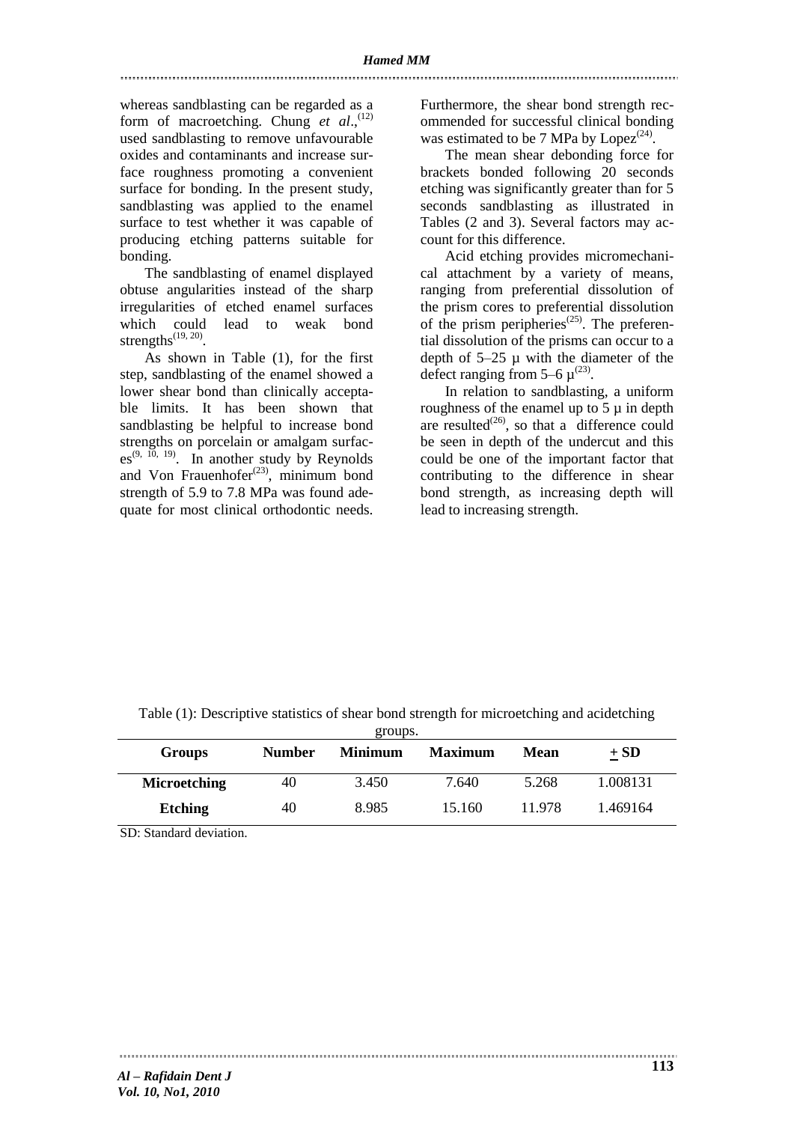whereas sandblasting can be regarded as a form of macroetching. Chung et al.,<sup>(12)</sup> used sandblasting to remove unfavourable oxides and contaminants and increase surface roughness promoting a convenient surface for bonding. In the present study, sandblasting was applied to the enamel surface to test whether it was capable of producing etching patterns suitable for bonding.

The sandblasting of enamel displayed obtuse angularities instead of the sharp irregularities of etched enamel surfaces which could lead to weak bond strengths $^{(19, 20)}$ .

As shown in Table (1), for the first step, sandblasting of the enamel showed a lower shear bond than clinically acceptable limits. It has been shown that sandblasting be helpful to increase bond strengths on porcelain or amalgam surfac $es^{(9, 10, 19)}$ . In another study by Reynolds and Von Frauenhofer<sup> $(23)$ </sup>, minimum bond strength of 5.9 to 7.8 MPa was found adequate for most clinical orthodontic needs.

Furthermore, the shear bond strength recommended for successful clinical bonding was estimated to be 7 MPa by  $Lopez^{(24)}$ .

The mean shear debonding force for brackets bonded following 20 seconds etching was significantly greater than for 5 seconds sandblasting as illustrated in Tables (2 and 3). Several factors may account for this difference.

Acid etching provides micromechanical attachment by a variety of means, ranging from preferential dissolution of the prism cores to preferential dissolution of the prism peripheries<sup> $(25)$ </sup>. The preferential dissolution of the prisms can occur to a depth of  $5-25$   $\mu$  with the diameter of the defect ranging from 5–6  $\mu^{(23)}$ .

In relation to sandblasting, a uniform roughness of the enamel up to  $5 \mu$  in depth are resulted<sup>(26)</sup>, so that a difference could be seen in depth of the undercut and this could be one of the important factor that contributing to the difference in shear bond strength, as increasing depth will lead to increasing strength.

| Groups              | <b>Number</b> | <b>Minimum</b> | <b>Maximum</b> | Mean   | $+$ SD   |
|---------------------|---------------|----------------|----------------|--------|----------|
| <b>Microetching</b> | 40            | 3.450          | 7.640          | 5.268  | 1.008131 |
| <b>Etching</b>      | 40            | 8.985          | 15.160         | 11 978 | 1.469164 |

Table (1): Descriptive statistics of shear bond strength for microetching and acidetching groups.

SD: Standard deviation.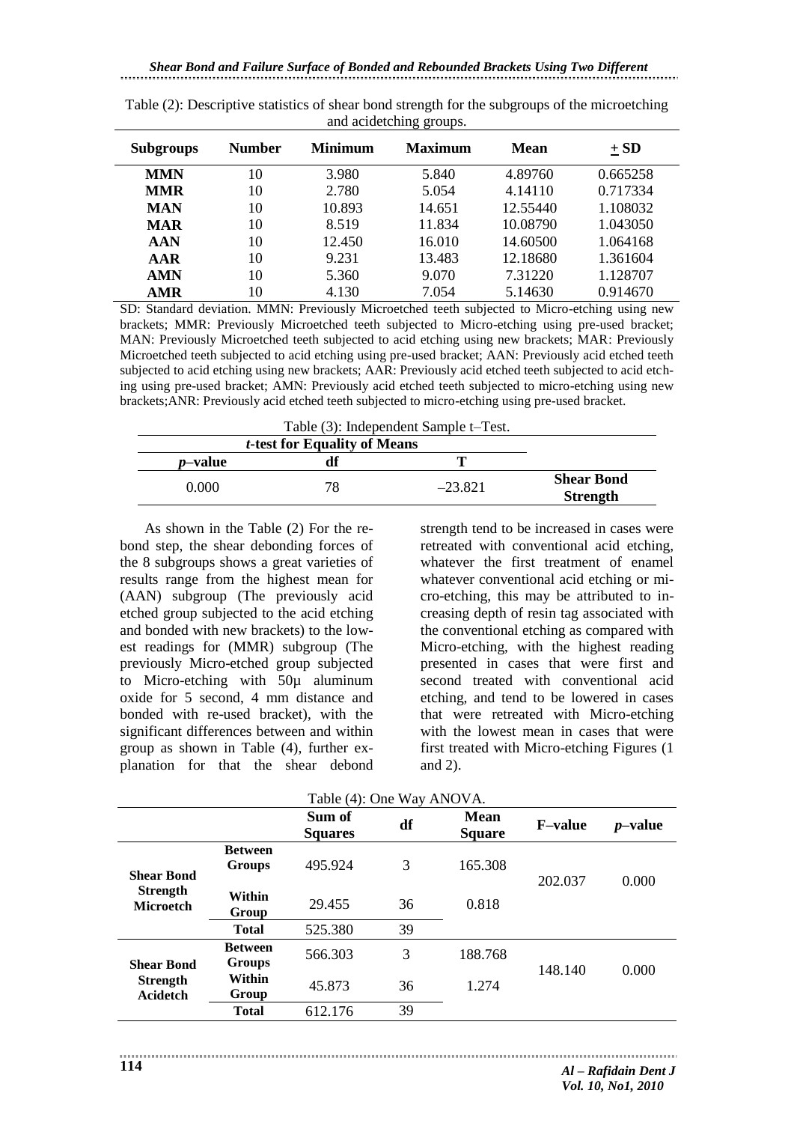|                  |               |                | ັັ             |             |          |
|------------------|---------------|----------------|----------------|-------------|----------|
| <b>Subgroups</b> | <b>Number</b> | <b>Minimum</b> | <b>Maximum</b> | <b>Mean</b> | $+$ SD   |
| <b>MMN</b>       | 10            | 3.980          | 5.840          | 4.89760     | 0.665258 |
| <b>MMR</b>       | 10            | 2.780          | 5.054          | 4.14110     | 0.717334 |
| <b>MAN</b>       | 10            | 10.893         | 14.651         | 12.55440    | 1.108032 |
| <b>MAR</b>       | 10            | 8.519          | 11.834         | 10.08790    | 1.043050 |
| <b>AAN</b>       | 10            | 12.450         | 16.010         | 14.60500    | 1.064168 |
| AAR              | 10            | 9.231          | 13.483         | 12.18680    | 1.361604 |
| <b>AMN</b>       | 10            | 5.360          | 9.070          | 7.31220     | 1.128707 |
| <b>AMR</b>       | 10            | 4.130          | 7.054          | 5.14630     | 0.914670 |

Table (2): Descriptive statistics of shear bond strength for the subgroups of the microetching and acidetching groups.

SD: Standard deviation. MMN: Previously Microetched teeth subjected to Micro-etching using new brackets; MMR: Previously Microetched teeth subjected to Micro-etching using pre-used bracket; MAN: Previously Microetched teeth subjected to acid etching using new brackets; MAR: Previously Microetched teeth subjected to acid etching using pre-used bracket; AAN: Previously acid etched teeth subjected to acid etching using new brackets; AAR: Previously acid etched teeth subjected to acid etching using pre-used bracket; AMN: Previously acid etched teeth subjected to micro-etching using new brackets;ANR: Previously acid etched teeth subjected to micro-etching using pre-used bracket.

Table (3): Independent Sample t–Test.

|                                      |           | <i>t</i> -test for Equality of Means |                 |
|--------------------------------------|-----------|--------------------------------------|-----------------|
|                                      | m         | df                                   | <i>p</i> -value |
| <b>Shear Bond</b><br><b>Strength</b> | $-23.821$ | 78                                   | 0.000           |

As shown in the Table (2) For the rebond step, the shear debonding forces of the 8 subgroups shows a great varieties of results range from the highest mean for (AAN) subgroup (The previously acid etched group subjected to the acid etching and bonded with new brackets) to the lowest readings for (MMR) subgroup (The previously Micro-etched group subjected to Micro-etching with 50µ aluminum oxide for 5 second, 4 mm distance and bonded with re-used bracket), with the significant differences between and within group as shown in Table (4), further explanation for that the shear debond

strength tend to be increased in cases were retreated with conventional acid etching, whatever the first treatment of enamel whatever conventional acid etching or micro-etching, this may be attributed to increasing depth of resin tag associated with the conventional etching as compared with Micro-etching, with the highest reading presented in cases that were first and second treated with conventional acid etching, and tend to be lowered in cases that were retreated with Micro-etching with the lowest mean in cases that were first treated with Micro-etching Figures (1 and 2).

| LAUIC (4). UIIC WAY AINUVA.         |                                 |                          |    |                              |                 |            |  |
|-------------------------------------|---------------------------------|--------------------------|----|------------------------------|-----------------|------------|--|
|                                     |                                 | Sum of<br><b>Squares</b> | df | <b>Mean</b><br><b>Square</b> | <b>F</b> -value | $p$ -value |  |
| <b>Shear Bond</b>                   | <b>Between</b><br><b>Groups</b> | 495.924                  | 3  | 165.308                      | 202.037         | 0.000      |  |
| <b>Strength</b><br><b>Microetch</b> | Within<br>Group                 | 29.455                   | 36 | 0.818                        |                 |            |  |
|                                     | <b>Total</b>                    | 525.380                  | 39 |                              |                 |            |  |
| <b>Shear Bond</b>                   | <b>Between</b><br><b>Groups</b> | 566.303                  | 3  | 188.768                      | 148.140         | 0.000      |  |
| <b>Strength</b><br><b>Acidetch</b>  | Within<br>Group                 | 45.873                   | 36 | 1.274                        |                 |            |  |
|                                     | <b>Total</b>                    | 612.176                  | 39 |                              |                 |            |  |

Table (4): One Way ANOVA.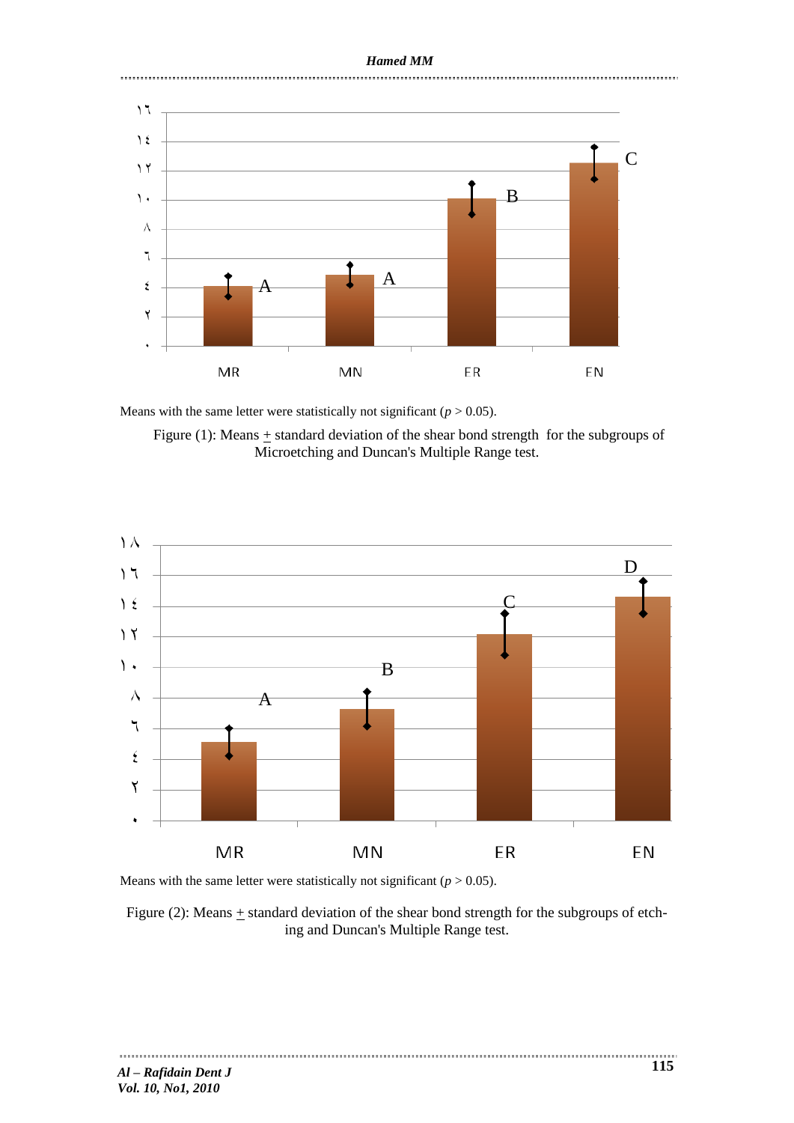# *Hamed MM*



Means with the same letter were statistically not significant ( $p > 0.05$ ).

Figure (1): Means  $\pm$  standard deviation of the shear bond strength for the subgroups of Microetching and Duncan's Multiple Range test.



Means with the same letter were statistically not significant  $(p > 0.05)$ .

Figure (2): Means + standard deviation of the shear bond strength for the subgroups of etching and Duncan's Multiple Range test.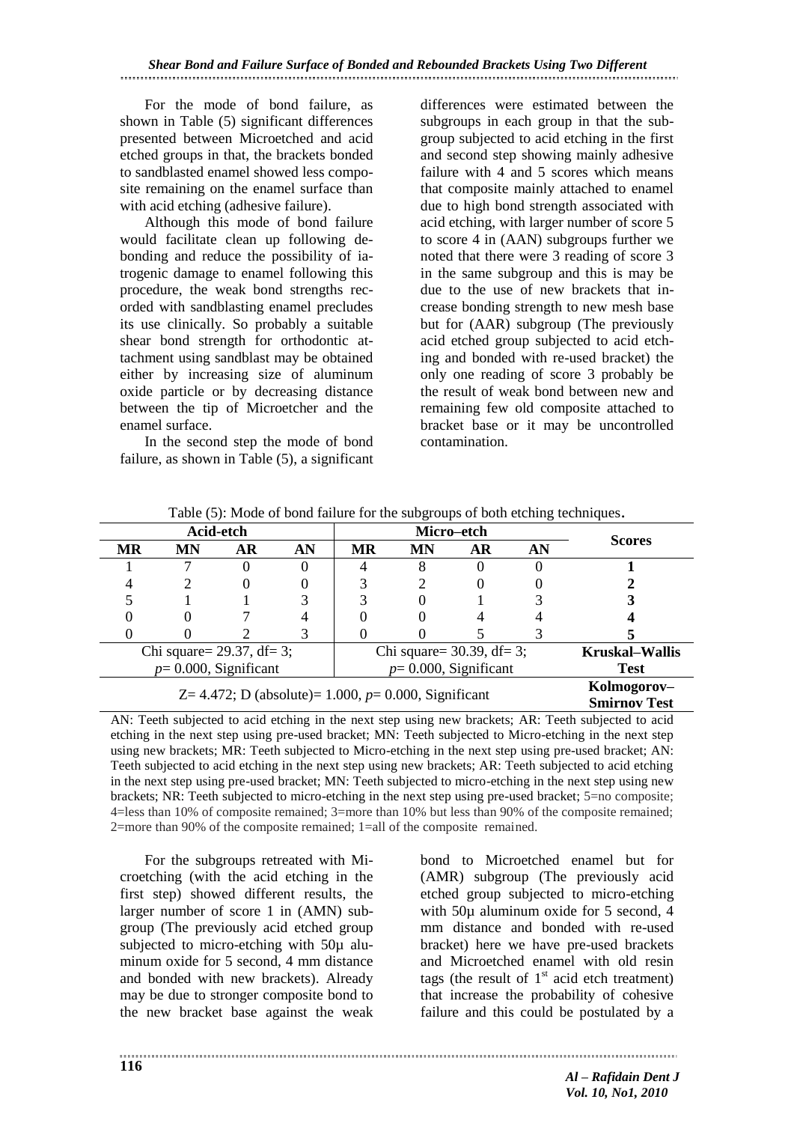For the mode of bond failure, as shown in Table (5) significant differences presented between Microetched and acid etched groups in that, the brackets bonded to sandblasted enamel showed less composite remaining on the enamel surface than with acid etching (adhesive failure).

Although this mode of bond failure would facilitate clean up following debonding and reduce the possibility of iatrogenic damage to enamel following this procedure, the weak bond strengths recorded with sandblasting enamel precludes its use clinically. So probably a suitable shear bond strength for orthodontic attachment using sandblast may be obtained either by increasing size of aluminum oxide particle or by decreasing distance between the tip of Microetcher and the enamel surface.

In the second step the mode of bond failure, as shown in Table (5), a significant differences were estimated between the subgroups in each group in that the subgroup subjected to acid etching in the first and second step showing mainly adhesive failure with 4 and 5 scores which means that composite mainly attached to enamel due to high bond strength associated with acid etching, with larger number of score 5 to score 4 in (AAN) subgroups further we noted that there were 3 reading of score 3 in the same subgroup and this is may be due to the use of new brackets that increase bonding strength to new mesh base but for (AAR) subgroup (The previously acid etched group subjected to acid etching and bonded with re-used bracket) the only one reading of score 3 probably be the result of weak bond between new and remaining few old composite attached to bracket base or it may be uncontrolled contamination.

|                       | Micro-etch                                              |           |    |           | Acid-etch               |                              |    |           |  |
|-----------------------|---------------------------------------------------------|-----------|----|-----------|-------------------------|------------------------------|----|-----------|--|
| <b>Scores</b>         | AN                                                      | <b>AR</b> | MN | <b>MR</b> | AN                      | AR                           | MN | <b>MR</b> |  |
|                       |                                                         |           | 8  |           |                         |                              |    |           |  |
|                       |                                                         |           |    |           |                         |                              |    |           |  |
|                       |                                                         |           |    |           |                         |                              |    |           |  |
|                       |                                                         |           |    |           |                         |                              |    |           |  |
|                       |                                                         |           |    |           |                         |                              |    |           |  |
| <b>Kruskal–Wallis</b> | Chi square= $30.39$ , df= 3;                            |           |    |           |                         | Chi square= $29.37$ , df= 3; |    |           |  |
| <b>Test</b>           | $p=0.000$ , Significant                                 |           |    |           | $p=0.000$ , Significant |                              |    |           |  |
| Kolmogorov-           |                                                         |           |    |           |                         |                              |    |           |  |
| <b>Smirnov Test</b>   | Z= 4.472; D (absolute)= $1.000, p= 0.000$ , Significant |           |    |           |                         |                              |    |           |  |

Table (5): Mode of bond failure for the subgroups of both etching techniques.

AN: Teeth subjected to acid etching in the next step using new brackets; AR: Teeth subjected to acid etching in the next step using pre-used bracket; MN: Teeth subjected to Micro-etching in the next step using new brackets; MR: Teeth subjected to Micro-etching in the next step using pre-used bracket; AN: Teeth subjected to acid etching in the next step using new brackets; AR: Teeth subjected to acid etching in the next step using pre-used bracket; MN: Teeth subjected to micro-etching in the next step using new brackets; NR: Teeth subjected to micro-etching in the next step using pre-used bracket; 5=no composite; 4=less than 10% of composite remained; 3=more than 10% but less than 90% of the composite remained; 2=more than 90% of the composite remained; 1=all of the composite remained.

For the subgroups retreated with Microetching (with the acid etching in the first step) showed different results, the larger number of score 1 in (AMN) subgroup (The previously acid etched group subjected to micro-etching with 50µ aluminum oxide for 5 second, 4 mm distance and bonded with new brackets). Already may be due to stronger composite bond to the new bracket base against the weak

bond to Microetched enamel but for (AMR) subgroup (The previously acid etched group subjected to micro-etching with 50µ aluminum oxide for 5 second, 4 mm distance and bonded with re-used bracket) here we have pre-used brackets and Microetched enamel with old resin tags (the result of  $1<sup>st</sup>$  acid etch treatment) that increase the probability of cohesive failure and this could be postulated by a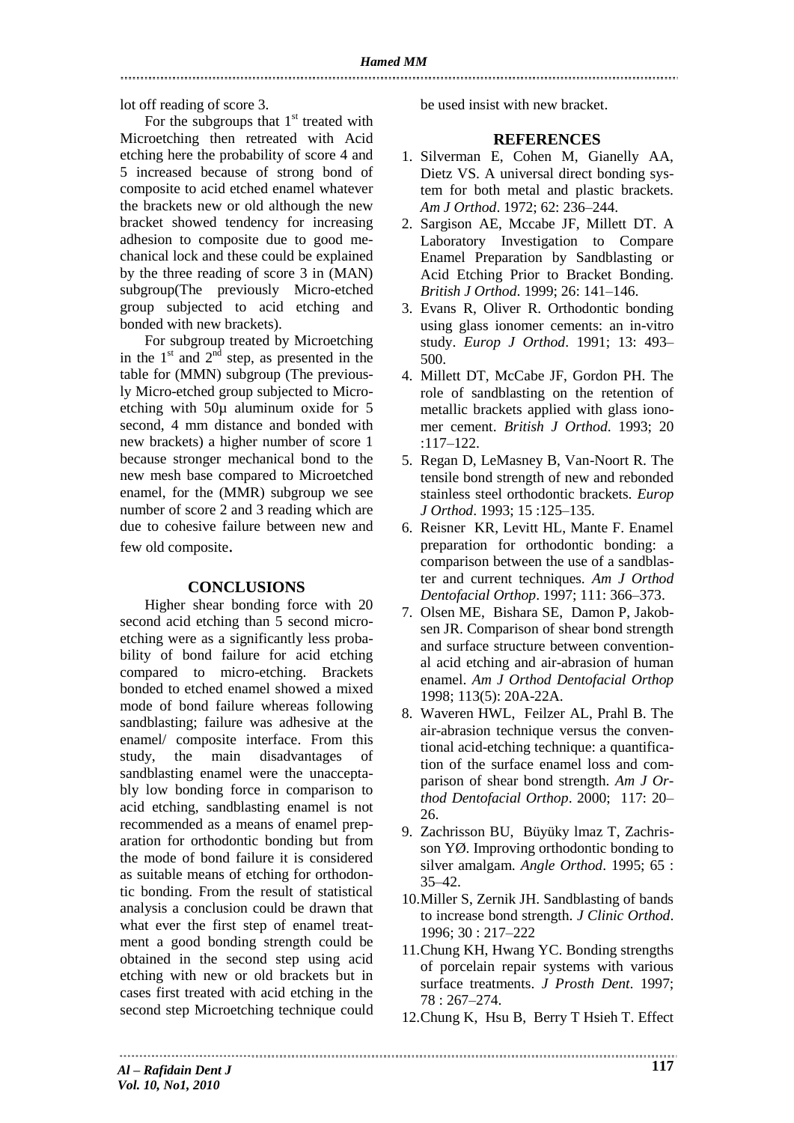lot off reading of score 3.

For the subgroups that  $1<sup>st</sup>$  treated with Microetching then retreated with Acid etching here the probability of score 4 and 5 increased because of strong bond of composite to acid etched enamel whatever the brackets new or old although the new bracket showed tendency for increasing adhesion to composite due to good mechanical lock and these could be explained by the three reading of score 3 in (MAN) subgroup(The previously Micro-etched group subjected to acid etching and bonded with new brackets).

For subgroup treated by Microetching in the  $1<sup>st</sup>$  and  $2<sup>nd</sup>$  step, as presented in the table for (MMN) subgroup (The previously Micro-etched group subjected to Microetching with 50µ aluminum oxide for 5 second, 4 mm distance and bonded with new brackets) a higher number of score 1 because stronger mechanical bond to the new mesh base compared to Microetched enamel, for the (MMR) subgroup we see number of score 2 and 3 reading which are due to cohesive failure between new and few old composite.

## **CONCLUSIONS**

Higher shear bonding force with 20 second acid etching than 5 second microetching were as a significantly less probability of bond failure for acid etching compared to micro-etching. Brackets bonded to etched enamel showed a mixed mode of bond failure whereas following sandblasting; failure was adhesive at the enamel/ composite interface. From this study, the main disadvantages of sandblasting enamel were the unacceptably low bonding force in comparison to acid etching, sandblasting enamel is not recommended as a means of enamel preparation for orthodontic bonding but from the mode of bond failure it is considered as suitable means of etching for orthodontic bonding. From the result of statistical analysis a conclusion could be drawn that what ever the first step of enamel treatment a good bonding strength could be obtained in the second step using acid etching with new or old brackets but in cases first treated with acid etching in the second step Microetching technique could be used insist with new bracket.

## **REFERENCES**

- 1. Silverman E, Cohen M, Gianelly AA, Dietz VS. A universal direct bonding system for both metal and plastic brackets. *Am J Orthod*. 1972; 62: 236–244.
- 2. Sargison AE, Mccabe JF, Millett DT. A Laboratory Investigation to Compare Enamel Preparation by Sandblasting or Acid Etching Prior to Bracket Bonding. *British J Orthod*. 1999; 26: 141–146.
- 3. Evans R, Oliver R. Orthodontic bonding using glass ionomer cements: an in-vitro study. *Europ J Orthod*. 1991; 13: 493– 500.
- 4. Millett DT, McCabe JF, Gordon PH. The role of sandblasting on the retention of metallic brackets applied with glass ionomer cement. *British J Orthod*. 1993; 20 :117–122.
- 5. Regan D, LeMasney B, Van-Noort R. The tensile bond strength of new and rebonded stainless steel orthodontic brackets. *Europ J Orthod*. 1993; 15 :125–135.
- 6. Reisner KR, Levitt HL, Mante F. Enamel preparation for orthodontic bonding: a comparison between the use of a sandblaster and current techniques. *Am J Orthod Dentofacial Orthop*. 1997; 111: 366–373.
- 7. [Olsen ME,](http://www.ncbi.nlm.nih.gov/sites/entrez?Db=pubmed&Cmd=Search&Term=%22Olsen%20ME%22%5BAuthor%5D&itool=EntrezSystem2.PEntrez.Pubmed.Pubmed_ResultsPanel.Pubmed_RVAbstractPlusDrugs2) [Bishara SE,](http://www.ncbi.nlm.nih.gov/sites/entrez?Db=pubmed&Cmd=Search&Term=%22Bishara%20SE%22%5BAuthor%5D&itool=EntrezSystem2.PEntrez.Pubmed.Pubmed_ResultsPanel.Pubmed_RVAbstractPlusDrugs2) [Damon P,](http://www.ncbi.nlm.nih.gov/sites/entrez?Db=pubmed&Cmd=Search&Term=%22Damon%20P%22%5BAuthor%5D&itool=EntrezSystem2.PEntrez.Pubmed.Pubmed_ResultsPanel.Pubmed_RVAbstractPlusDrugs2) [Jakob](http://www.ncbi.nlm.nih.gov/sites/entrez?Db=pubmed&Cmd=Search&Term=%22Jakobsen%20JR%22%5BAuthor%5D&itool=EntrezSystem2.PEntrez.Pubmed.Pubmed_ResultsPanel.Pubmed_RVAbstractPlusDrugs2)[sen JR.](http://www.ncbi.nlm.nih.gov/sites/entrez?Db=pubmed&Cmd=Search&Term=%22Jakobsen%20JR%22%5BAuthor%5D&itool=EntrezSystem2.PEntrez.Pubmed.Pubmed_ResultsPanel.Pubmed_RVAbstractPlusDrugs2) Comparison of shear bond strength and surface structure between conventional acid etching and air-abrasion of human enamel. *Am J Orthod Dentofacial Orthop* 1998; [113\(5\): 20A-22A.](http://www.ncbi.nlm.nih.gov/pubmed/9598603?ordinalpos=1&itool=EntrezSystem2.PEntrez.Pubmed.Pubmed_ResultsPanel.Pubmed_RVAbstractPlusDrugs2)
- 8. Waveren HWL, Feilzer AL, Prahl B. The air-abrasion technique versus the conventional acid-etching technique: a quantification of the surface enamel loss and comparison of shear bond strength. *Am J Orthod Dentofacial Orthop*. 2000; 117: 20– 26.
- 9. Zachrisson BU, Büyüky lmaz T, Zachrisson YØ. Improving orthodontic bonding to silver amalgam. *Angle Orthod*. 1995; 65 : 35–42.
- 10.Miller S, Zernik JH. Sandblasting of bands to increase bond strength. *J Clinic Orthod*. 1996; 30 : 217–222
- 11.Chung KH, Hwang YC. Bonding strengths of porcelain repair systems with various surface treatments. *J Prosth Dent*. 1997; 78 : 267–274.
- 12.Chung K, Hsu B, Berry T Hsieh T. Effect